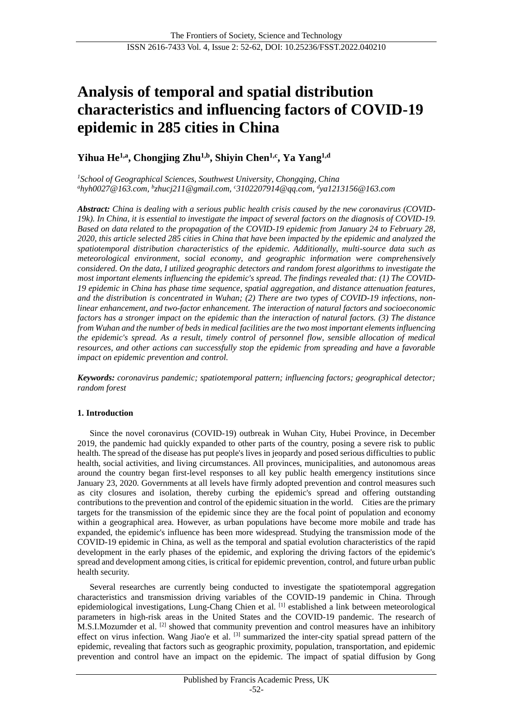# **Analysis of temporal and spatial distribution characteristics and influencing factors of COVID-19 epidemic in 285 cities in China**

# **Yihua He1,a, Chongjing Zhu1,b, Shiyin Chen1,c, Ya Yang1,d**

*<sup>1</sup>School of Geographical Sciences, Southwest University, Chongqing, China <sup>a</sup>hyh0027@163.com, <sup>b</sup> zhucj211@gmail.com, <sup>c</sup>3102207914@qq.com, <sup>d</sup> ya1213156@163.com*

*Abstract: China is dealing with a serious public health crisis caused by the new coronavirus (COVID-19k). In China, it is essential to investigate the impact of several factors on the diagnosis of COVID-19. Based on data related to the propagation of the COVID-19 epidemic from January 24 to February 28, 2020, this article selected 285 cities in China that have been impacted by the epidemic and analyzed the spatiotemporal distribution characteristics of the epidemic. Additionally, multi-source data such as meteorological environment, social economy, and geographic information were comprehensively considered. On the data, I utilized geographic detectors and random forest algorithms to investigate the most important elements influencing the epidemic's spread. The findings revealed that: (1) The COVID-19 epidemic in China has phase time sequence, spatial aggregation, and distance attenuation features, and the distribution is concentrated in Wuhan; (2) There are two types of COVID-19 infections, nonlinear enhancement, and two-factor enhancement. The interaction of natural factors and socioeconomic factors has a stronger impact on the epidemic than the interaction of natural factors. (3) The distance from Wuhan and the number of beds in medical facilities are the two most important elements influencing the epidemic's spread. As a result, timely control of personnel flow, sensible allocation of medical resources, and other actions can successfully stop the epidemic from spreading and have a favorable impact on epidemic prevention and control.*

*Keywords: coronavirus pandemic; spatiotemporal pattern; influencing factors; geographical detector; random forest*

# **1. Introduction**

Since the novel coronavirus (COVID-19) outbreak in Wuhan City, Hubei Province, in December 2019, the pandemic had quickly expanded to other parts of the country, posing a severe risk to public health. The spread of the disease has put people's lives in jeopardy and posed serious difficulties to public health, social activities, and living circumstances. All provinces, municipalities, and autonomous areas around the country began first-level responses to all key public health emergency institutions since January 23, 2020. Governments at all levels have firmly adopted prevention and control measures such as city closures and isolation, thereby curbing the epidemic's spread and offering outstanding contributions to the prevention and control of the epidemic situation in the world. Cities are the primary targets for the transmission of the epidemic since they are the focal point of population and economy within a geographical area. However, as urban populations have become more mobile and trade has expanded, the epidemic's influence has been more widespread. Studying the transmission mode of the COVID-19 epidemic in China, as well as the temporal and spatial evolution characteristics of the rapid development in the early phases of the epidemic, and exploring the driving factors of the epidemic's spread and development among cities, is critical for epidemic prevention, control, and future urban public health security.

Several researches are currently being conducted to investigate the spatiotemporal aggregation characteristics and transmission driving variables of the COVID-19 pandemic in China. Through epidemiological investigations, Lung-Chang Chien et al. [1] established a link between meteorological parameters in high-risk areas in the United States and the COVID-19 pandemic. The research of M.S.I.Mozumder et al. [2] showed that community prevention and control measures have an inhibitory effect on virus infection. Wang Jiao'e et al. <sup>[3]</sup> summarized the inter-city spatial spread pattern of the epidemic, revealing that factors such as geographic proximity, population, transportation, and epidemic prevention and control have an impact on the epidemic. The impact of spatial diffusion by Gong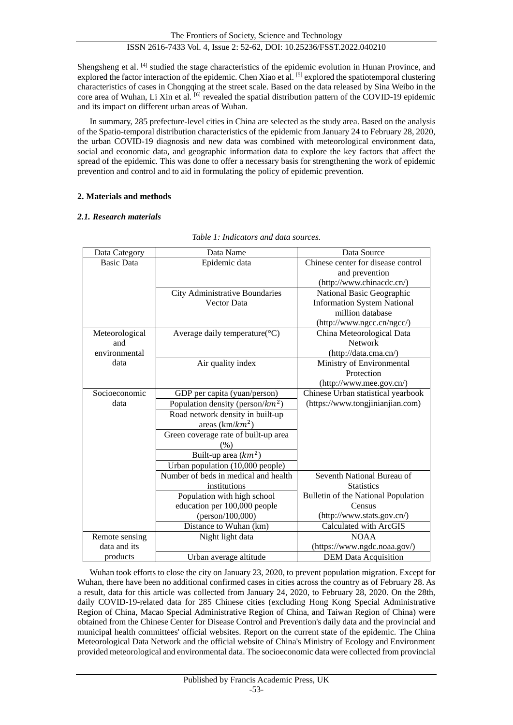Shengsheng et al. <sup>[4]</sup> studied the stage characteristics of the epidemic evolution in Hunan Province, and explored the factor interaction of the epidemic. Chen Xiao et al. [5] explored the spatiotemporal clustering characteristics of cases in Chongqing at the street scale. Based on the data released by Sina Weibo in the core area of Wuhan, Li Xin et al. <sup>[6]</sup> revealed the spatial distribution pattern of the COVID-19 epidemic and its impact on different urban areas of Wuhan.

In summary, 285 prefecture-level cities in China are selected as the study area. Based on the analysis of the Spatio-temporal distribution characteristics of the epidemic from January 24 to February 28, 2020, the urban COVID-19 diagnosis and new data was combined with meteorological environment data, social and economic data, and geographic information data to explore the key factors that affect the spread of the epidemic. This was done to offer a necessary basis for strengthening the work of epidemic prevention and control and to aid in formulating the policy of epidemic prevention.

# **2. Materials and methods**

# *2.1. Research materials*

| Data Category     | Data Name                            | Data Source                         |  |  |
|-------------------|--------------------------------------|-------------------------------------|--|--|
| <b>Basic Data</b> | Epidemic data                        | Chinese center for disease control  |  |  |
|                   |                                      | and prevention                      |  |  |
|                   |                                      | (http://www.chinacdc.cn/)           |  |  |
|                   | City Administrative Boundaries       | National Basic Geographic           |  |  |
|                   | <b>Vector Data</b>                   | <b>Information System National</b>  |  |  |
|                   |                                      | million database                    |  |  |
|                   |                                      | (http://www.ngcc.cn/ngcc/)          |  |  |
| Meteorological    | Average daily temperature $(C)$      | China Meteorological Data           |  |  |
| and               |                                      | <b>Network</b>                      |  |  |
| environmental     |                                      | (http://data.cma.cn/)               |  |  |
| data              | Air quality index                    | Ministry of Environmental           |  |  |
|                   |                                      | Protection                          |  |  |
|                   |                                      | (http://www.mee.gov.cn/)            |  |  |
| Socioeconomic     | GDP per capita (yuan/person)         | Chinese Urban statistical yearbook  |  |  |
| data              | Population density (person/ $km^2$ ) | (https://www.tongjinianjian.com)    |  |  |
|                   | Road network density in built-up     |                                     |  |  |
|                   | areas $(km/km2)$                     |                                     |  |  |
|                   | Green coverage rate of built-up area |                                     |  |  |
|                   | (% )                                 |                                     |  |  |
|                   | Built-up area $(km^2)$               |                                     |  |  |
|                   | Urban population (10,000 people)     |                                     |  |  |
|                   | Number of beds in medical and health | Seventh National Bureau of          |  |  |
|                   | institutions                         | <b>Statistics</b>                   |  |  |
|                   | Population with high school          | Bulletin of the National Population |  |  |
|                   | education per 100,000 people         | Census                              |  |  |
|                   | (person/100,000)                     | (http://www.stats.gov.cn/)          |  |  |
|                   | Distance to Wuhan (km)               | Calculated with ArcGIS              |  |  |
| Remote sensing    | Night light data                     | <b>NOAA</b>                         |  |  |
| data and its      |                                      | (https://www.ngdc.noaa.gov/)        |  |  |
| products          | Urban average altitude               | <b>DEM Data Acquisition</b>         |  |  |

# *Table 1: Indicators and data sources.*

Wuhan took efforts to close the city on January 23, 2020, to prevent population migration. Except for Wuhan, there have been no additional confirmed cases in cities across the country as of February 28. As a result, data for this article was collected from January 24, 2020, to February 28, 2020. On the 28th, daily COVID-19-related data for 285 Chinese cities (excluding Hong Kong Special Administrative Region of China, Macao Special Administrative Region of China, and Taiwan Region of China) were obtained from the Chinese Center for Disease Control and Prevention's daily data and the provincial and municipal health committees' official websites. Report on the current state of the epidemic. The China Meteorological Data Network and the official website of China's Ministry of Ecology and Environment provided meteorological and environmental data. The socioeconomic data were collected from provincial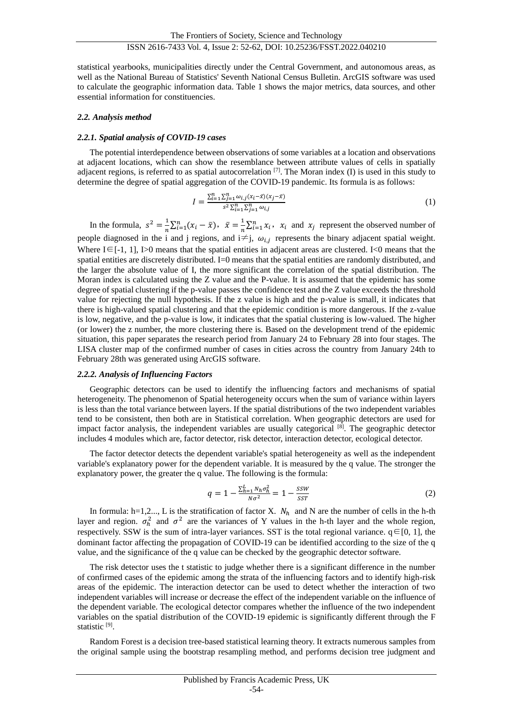statistical yearbooks, municipalities directly under the Central Government, and autonomous areas, as well as the National Bureau of Statistics' Seventh National Census Bulletin. ArcGIS software was used to calculate the geographic information data. Table 1 shows the major metrics, data sources, and other essential information for constituencies.

#### *2.2. Analysis method*

#### *2.2.1. Spatial analysis of COVID-19 cases*

The potential interdependence between observations of some variables at a location and observations at adjacent locations, which can show the resemblance between attribute values of cells in spatially adjacent regions, is referred to as spatial autocorrelation  $[7]$ . The Moran index (I) is used in this study to determine the degree of spatial aggregation of the COVID-19 pandemic. Its formula is as follows:

$$
I = \frac{\sum_{i=1}^{n} \sum_{j=1}^{n} \omega_{i,j} (x_i - \bar{x})(x_j - \bar{x})}{s^2 \sum_{i=1}^{n} \sum_{j=1}^{n} \omega_{i,j}}
$$
(1)

In the formula,  $s^2 = \frac{1}{s}$  $\frac{1}{n}\sum_{i=1}^{n}(x_i-\bar{x}), \ \ \bar{x}=\frac{1}{n}$  $\frac{1}{n}\sum_{i=1}^{n} x_i$ ,  $x_i$  and  $x_j$  represent the observed number of people diagnosed in the i and j regions, and  $i \neq j$ ,  $\omega_{i,j}$  represents the binary adjacent spatial weight. Where  $I \in [-1, 1]$ , I>0 means that the spatial entities in adjacent areas are clustered. I<0 means that the spatial entities are discretely distributed. I=0 means that the spatial entities are randomly distributed, and the larger the absolute value of I, the more significant the correlation of the spatial distribution. The Moran index is calculated using the Z value and the P-value. It is assumed that the epidemic has some degree of spatial clustering if the p-value passes the confidence test and the Z value exceeds the threshold value for rejecting the null hypothesis. If the z value is high and the p-value is small, it indicates that there is high-valued spatial clustering and that the epidemic condition is more dangerous. If the z-value is low, negative, and the p-value is low, it indicates that the spatial clustering is low-valued. The higher (or lower) the z number, the more clustering there is. Based on the development trend of the epidemic situation, this paper separates the research period from January 24 to February 28 into four stages. The LISA cluster map of the confirmed number of cases in cities across the country from January 24th to February 28th was generated using ArcGIS software.

#### *2.2.2. Analysis of Influencing Factors*

Geographic detectors can be used to identify the influencing factors and mechanisms of spatial heterogeneity. The phenomenon of Spatial heterogeneity occurs when the sum of variance within layers is less than the total variance between layers. If the spatial distributions of the two independent variables tend to be consistent, then both are in Statistical correlation. When geographic detectors are used for impact factor analysis, the independent variables are usually categorical  $[8]$ . The geographic detector includes 4 modules which are, factor detector, risk detector, interaction detector, ecological detector.

The factor detector detects the dependent variable's spatial heterogeneity as well as the independent variable's explanatory power for the dependent variable. It is measured by the q value. The stronger the explanatory power, the greater the q value. The following is the formula:

$$
q = 1 - \frac{\sum_{h=1}^{L} N_h \sigma_h^2}{N \sigma^2} = 1 - \frac{SSW}{SST}
$$
 (2)

In formula:  $h=1,2...$ , L is the stratification of factor X.  $N_h$  and N are the number of cells in the h-th layer and region.  $\sigma_h^2$  and  $\sigma^2$  are the variances of Y values in the h-th layer and the whole region, respectively. SSW is the sum of intra-layer variances. SST is the total regional variance.  $q \in [0, 1]$ , the dominant factor affecting the propagation of COVID-19 can be identified according to the size of the q value, and the significance of the q value can be checked by the geographic detector software.

The risk detector uses the t statistic to judge whether there is a significant difference in the number of confirmed cases of the epidemic among the strata of the influencing factors and to identify high-risk areas of the epidemic. The interaction detector can be used to detect whether the interaction of two independent variables will increase or decrease the effect of the independent variable on the influence of the dependent variable. The ecological detector compares whether the influence of the two independent variables on the spatial distribution of the COVID-19 epidemic is significantly different through the F statistic<sup>[9]</sup>.

Random Forest is a decision tree-based statistical learning theory. It extracts numerous samples from the original sample using the bootstrap resampling method, and performs decision tree judgment and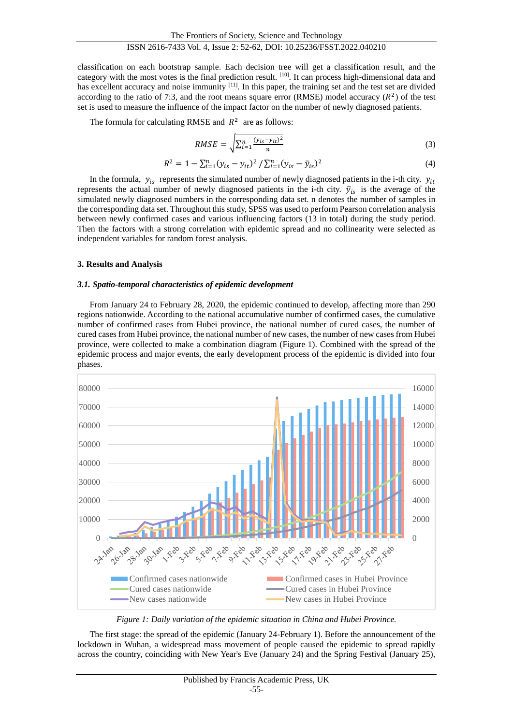classification on each bootstrap sample. Each decision tree will get a classification result, and the category with the most votes is the final prediction result. [10]. It can process high-dimensional data and has excellent accuracy and noise immunity <sup>[11]</sup>. In this paper, the training set and the test set are divided according to the ratio of 7:3, and the root means square error (RMSE) model accuracy  $(R^2)$  of the test set is used to measure the influence of the impact factor on the number of newly diagnosed patients.

The formula for calculating RMSE and  $R^2$  are as follows:

$$
RMSE = \sqrt{\sum_{i=1}^{n} \frac{(y_{is} - y_{it})^2}{n}}
$$
 (3)

$$
R^{2} = 1 - \sum_{i=1}^{n} (y_{is} - y_{it})^{2} / \sum_{i=1}^{n} (y_{is} - \bar{y}_{is})^{2}
$$
 (4)

In the formula,  $y_{is}$  represents the simulated number of newly diagnosed patients in the i-th city.  $y_{it}$ represents the actual number of newly diagnosed patients in the i-th city.  $\bar{y}_{is}$  is the average of the simulated newly diagnosed numbers in the corresponding data set. n denotes the number of samples in the corresponding data set. Throughout this study, SPSS was used to perform Pearson correlation analysis between newly confirmed cases and various influencing factors (13 in total) during the study period. Then the factors with a strong correlation with epidemic spread and no collinearity were selected as independent variables for random forest analysis.

#### **3. Results and Analysis**

#### *3.1. Spatio-temporal characteristics of epidemic development*

From January 24 to February 28, 2020, the epidemic continued to develop, affecting more than 290 regions nationwide. According to the national accumulative number of confirmed cases, the cumulative number of confirmed cases from Hubei province, the national number of cured cases, the number of cured cases from Hubei province, the national number of new cases, the number of new cases from Hubei province, were collected to make a combination diagram (Figure 1). Combined with the spread of the epidemic process and major events, the early development process of the epidemic is divided into four phases.



*Figure 1: Daily variation of the epidemic situation in China and Hubei Province.*

The first stage: the spread of the epidemic (January 24-February 1). Before the announcement of the lockdown in Wuhan, a widespread mass movement of people caused the epidemic to spread rapidly across the country, coinciding with New Year's Eve (January 24) and the Spring Festival (January 25),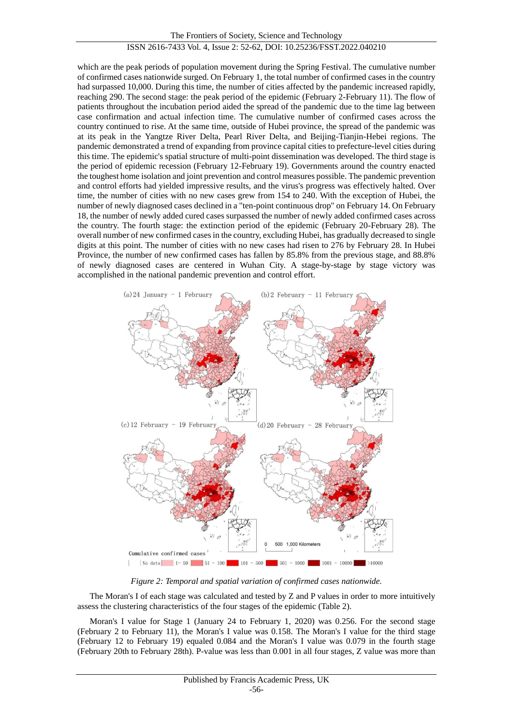The Frontiers of Society, Science and Technology ISSN 2616-7433 Vol. 4, Issue 2: 52-62, DOI: 10.25236/FSST.2022.040210

which are the peak periods of population movement during the Spring Festival. The cumulative number of confirmed cases nationwide surged. On February 1, the total number of confirmed cases in the country had surpassed 10,000. During this time, the number of cities affected by the pandemic increased rapidly, reaching 290. The second stage: the peak period of the epidemic (February 2-February 11). The flow of patients throughout the incubation period aided the spread of the pandemic due to the time lag between case confirmation and actual infection time. The cumulative number of confirmed cases across the country continued to rise. At the same time, outside of Hubei province, the spread of the pandemic was at its peak in the Yangtze River Delta, Pearl River Delta, and Beijing-Tianjin-Hebei regions. The pandemic demonstrated a trend of expanding from province capital cities to prefecture-level cities during this time. The epidemic's spatial structure of multi-point dissemination was developed. The third stage is the period of epidemic recession (February 12-February 19). Governments around the country enacted the toughest home isolation and joint prevention and control measures possible. The pandemic prevention and control efforts had yielded impressive results, and the virus's progress was effectively halted. Over time, the number of cities with no new cases grew from 154 to 240. With the exception of Hubei, the number of newly diagnosed cases declined in a "ten-point continuous drop" on February 14. On February 18, the number of newly added cured cases surpassed the number of newly added confirmed cases across the country. The fourth stage: the extinction period of the epidemic (February 20-February 28). The overall number of new confirmed cases in the country, excluding Hubei, has gradually decreased to single digits at this point. The number of cities with no new cases had risen to 276 by February 28. In Hubei Province, the number of new confirmed cases has fallen by 85.8% from the previous stage, and 88.8% of newly diagnosed cases are centered in Wuhan City. A stage-by-stage by stage victory was accomplished in the national pandemic prevention and control effort.



*Figure 2: Temporal and spatial variation of confirmed cases nationwide.*

The Moran's I of each stage was calculated and tested by Z and P values in order to more intuitively assess the clustering characteristics of the four stages of the epidemic (Table 2).

Moran's I value for Stage 1 (January 24 to February 1, 2020) was 0.256. For the second stage (February 2 to February 11), the Moran's I value was 0.158. The Moran's I value for the third stage (February 12 to February 19) equaled 0.084 and the Moran's I value was 0.079 in the fourth stage (February 20th to February 28th). P-value was less than 0.001 in all four stages, Z value was more than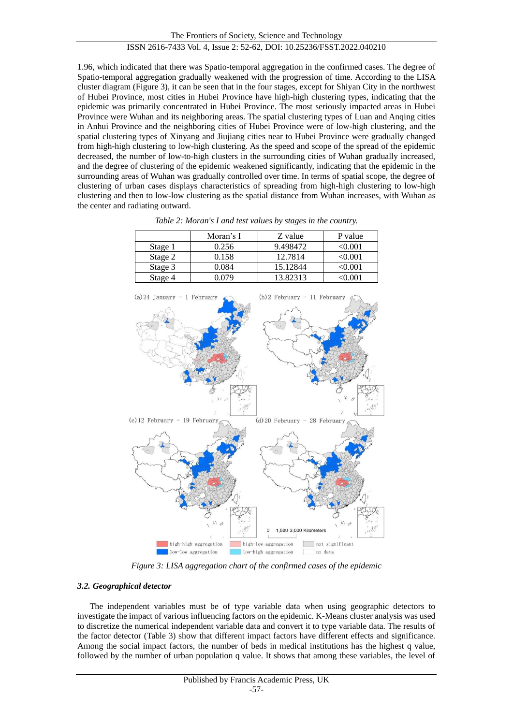1.96, which indicated that there was Spatio-temporal aggregation in the confirmed cases. The degree of Spatio-temporal aggregation gradually weakened with the progression of time. According to the LISA cluster diagram (Figure 3), it can be seen that in the four stages, except for Shiyan City in the northwest of Hubei Province, most cities in Hubei Province have high-high clustering types, indicating that the epidemic was primarily concentrated in Hubei Province. The most seriously impacted areas in Hubei Province were Wuhan and its neighboring areas. The spatial clustering types of Luan and Anqing cities in Anhui Province and the neighboring cities of Hubei Province were of low-high clustering, and the spatial clustering types of Xinyang and Jiujiang cities near to Hubei Province were gradually changed from high-high clustering to low-high clustering. As the speed and scope of the spread of the epidemic decreased, the number of low-to-high clusters in the surrounding cities of Wuhan gradually increased, and the degree of clustering of the epidemic weakened significantly, indicating that the epidemic in the surrounding areas of Wuhan was gradually controlled over time. In terms of spatial scope, the degree of clustering of urban cases displays characteristics of spreading from high-high clustering to low-high clustering and then to low-low clustering as the spatial distance from Wuhan increases, with Wuhan as the center and radiating outward.

|         | Moran's I | Z value  | P value |
|---------|-----------|----------|---------|
| Stage 1 | 0.256     | 9.498472 | <0.001  |
| Stage 2 | 0.158     | 12.7814  | <0.001  |
| Stage 3 | 0.084     | 15.12844 | <0.001  |
| Stage 4 | 0.079     | 13.82313 | 1∩∩ ∩ے  |

*Table 2: Moran's I and test values by stages in the country.*



*Figure 3: LISA aggregation chart of the confirmed cases of the epidemic*

# *3.2. Geographical detector*

The independent variables must be of type variable data when using geographic detectors to investigate the impact of various influencing factors on the epidemic. K-Means cluster analysis was used to discretize the numerical independent variable data and convert it to type variable data. The results of the factor detector (Table 3) show that different impact factors have different effects and significance. Among the social impact factors, the number of beds in medical institutions has the highest q value, followed by the number of urban population q value. It shows that among these variables, the level of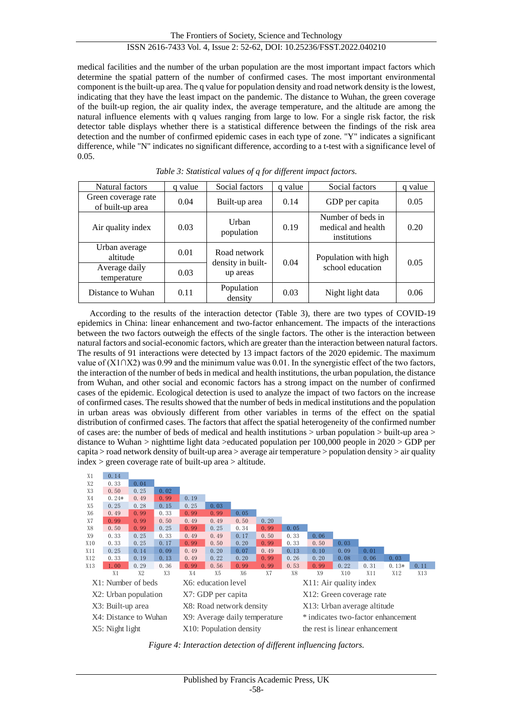medical facilities and the number of the urban population are the most important impact factors which determine the spatial pattern of the number of confirmed cases. The most important environmental component is the built-up area. The q value for population density and road network density is the lowest, indicating that they have the least impact on the pandemic. The distance to Wuhan, the green coverage of the built-up region, the air quality index, the average temperature, and the altitude are among the natural influence elements with q values ranging from large to low. For a single risk factor, the risk detector table displays whether there is a statistical difference between the findings of the risk area detection and the number of confirmed epidemic cases in each type of zone. "Y" indicates a significant difference, while "N" indicates no significant difference, according to a t-test with a significance level of 0.05.

| Natural factors                         | value<br><sup>a</sup> | Social factors<br>q value     |      | Social factors                                          | q value |
|-----------------------------------------|-----------------------|-------------------------------|------|---------------------------------------------------------|---------|
| Green coverage rate<br>of built-up area | 0.04                  | Built-up area                 | 0.14 | GDP per capita                                          | 0.05    |
| Air quality index                       | 0.03                  | Urban<br>population           | 0.19 | Number of beds in<br>medical and health<br>institutions | 0.20    |
| Urban average<br>altitude               | 0.01                  | Road network                  | 0.04 | Population with high<br>school education                | 0.05    |
| Average daily<br>temperature            | 0.03                  | density in built-<br>up areas |      |                                                         |         |
| Distance to Wuhan                       | 0.11                  | Population<br>density         | 0.03 | Night light data                                        | 0.06    |

*Table 3: Statistical values of q for different impact factors.*

According to the results of the interaction detector (Table 3), there are two types of COVID-19 epidemics in China: linear enhancement and two-factor enhancement. The impacts of the interactions between the two factors outweigh the effects of the single factors. The other is the interaction between natural factors and social-economic factors, which are greater than the interaction between natural factors. The results of 91 interactions were detected by 13 impact factors of the 2020 epidemic. The maximum value of (X1∩X2) was 0.99 and the minimum value was 0.01. In the synergistic effect of the two factors, the interaction of the number of beds in medical and health institutions, the urban population, the distance from Wuhan, and other social and economic factors has a strong impact on the number of confirmed cases of the epidemic. Ecological detection is used to analyze the impact of two factors on the increase of confirmed cases. The results showed that the number of beds in medical institutions and the population in urban areas was obviously different from other variables in terms of the effect on the spatial distribution of confirmed cases. The factors that affect the spatial heterogeneity of the confirmed number of cases are: the number of beds of medical and health institutions > urban population > built-up area > distance to Wuhan > nighttime light data >educated population per 100,000 people in 2020 > GDP per capita > road network density of built-up area > average air temperature > population density > air quality index > green coverage rate of built-up area > altitude.



*Figure 4: Interaction detection of different influencing factors.*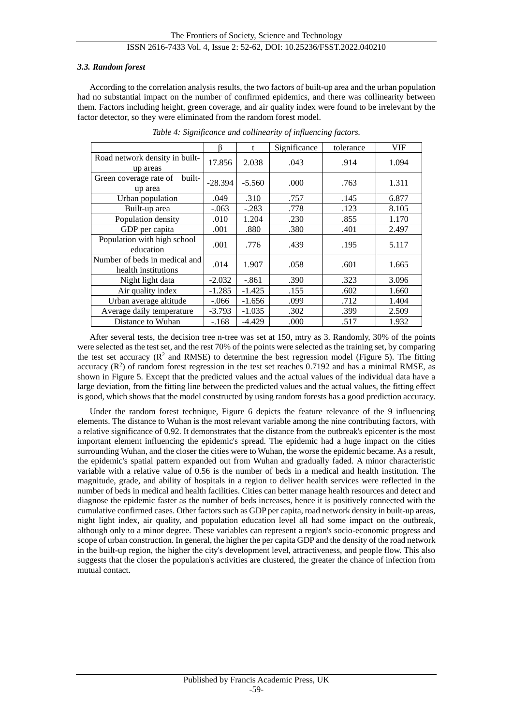#### *3.3. Random forest*

According to the correlation analysis results, the two factors of built-up area and the urban population had no substantial impact on the number of confirmed epidemics, and there was collinearity between them. Factors including height, green coverage, and air quality index were found to be irrelevant by the factor detector, so they were eliminated from the random forest model.

|                                                      | ß         | t        | Significance | tolerance | VIF   |
|------------------------------------------------------|-----------|----------|--------------|-----------|-------|
| Road network density in built-<br>up areas           | 17.856    | 2.038    | .043         | .914      | 1.094 |
| Green coverage rate of<br>built-<br>up area          | $-28.394$ | $-5.560$ | .000         | .763      | 1.311 |
| Urban population                                     | .049      | .310     | .757         | .145      | 6.877 |
| Built-up area                                        | $-.063$   | $-.283$  | .778         | .123      | 8.105 |
| Population density                                   | .010      | 1.204    | .230         | .855      | 1.170 |
| GDP per capita                                       | .001      | .880     | .380         | .401      | 2.497 |
| Population with high school<br>education             | .001      | .776     | .439         | .195      | 5.117 |
| Number of beds in medical and<br>health institutions | .014      | 1.907    | .058         | .601      | 1.665 |
| Night light data                                     | $-2.032$  | $-.861$  | .390         | .323      | 3.096 |
| Air quality index                                    | $-1.285$  | $-1.425$ | .155         | .602      | 1.660 |
| Urban average altitude                               | $-.066$   | $-1.656$ | .099         | .712      | 1.404 |
| Average daily temperature                            | $-3.793$  | $-1.035$ | .302         | .399      | 2.509 |
| Distance to Wuhan                                    | $-.168$   | $-4.429$ | .000         | .517      | 1.932 |

*Table 4: Significance and collinearity of influencing factors.*

After several tests, the decision tree n-tree was set at 150, mtry as 3. Randomly, 30% of the points were selected as the test set, and the rest 70% of the points were selected as the training set, by comparing the test set accuracy  $(R^2 \text{ and RMSE})$  to determine the best regression model (Figure 5). The fitting accuracy  $(R^2)$  of random forest regression in the test set reaches 0.7192 and has a minimal RMSE, as shown in Figure 5. Except that the predicted values and the actual values of the individual data have a large deviation, from the fitting line between the predicted values and the actual values, the fitting effect is good, which shows that the model constructed by using random forests has a good prediction accuracy.

Under the random forest technique, Figure 6 depicts the feature relevance of the 9 influencing elements. The distance to Wuhan is the most relevant variable among the nine contributing factors, with a relative significance of 0.92. It demonstrates that the distance from the outbreak's epicenter is the most important element influencing the epidemic's spread. The epidemic had a huge impact on the cities surrounding Wuhan, and the closer the cities were to Wuhan, the worse the epidemic became. As a result, the epidemic's spatial pattern expanded out from Wuhan and gradually faded. A minor characteristic variable with a relative value of 0.56 is the number of beds in a medical and health institution. The magnitude, grade, and ability of hospitals in a region to deliver health services were reflected in the number of beds in medical and health facilities. Cities can better manage health resources and detect and diagnose the epidemic faster as the number of beds increases, hence it is positively connected with the cumulative confirmed cases. Other factors such as GDP per capita, road network density in built-up areas, night light index, air quality, and population education level all had some impact on the outbreak, although only to a minor degree. These variables can represent a region's socio-economic progress and scope of urban construction. In general, the higher the per capita GDP and the density of the road network in the built-up region, the higher the city's development level, attractiveness, and people flow. This also suggests that the closer the population's activities are clustered, the greater the chance of infection from mutual contact.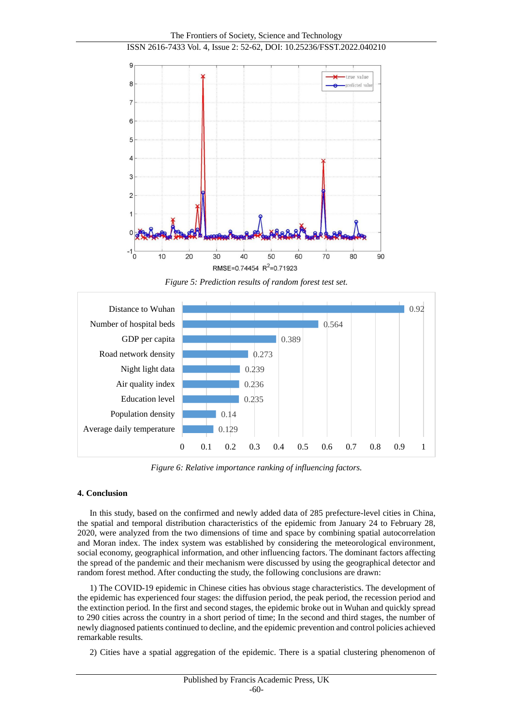

*Figure 5: Prediction results of random forest test set.*



*Figure 6: Relative importance ranking of influencing factors.*

#### **4. Conclusion**

In this study, based on the confirmed and newly added data of 285 prefecture-level cities in China, the spatial and temporal distribution characteristics of the epidemic from January 24 to February 28, 2020, were analyzed from the two dimensions of time and space by combining spatial autocorrelation and Moran index. The index system was established by considering the meteorological environment, social economy, geographical information, and other influencing factors. The dominant factors affecting the spread of the pandemic and their mechanism were discussed by using the geographical detector and random forest method. After conducting the study, the following conclusions are drawn:

1) The COVID-19 epidemic in Chinese cities has obvious stage characteristics. The development of the epidemic has experienced four stages: the diffusion period, the peak period, the recession period and the extinction period. In the first and second stages, the epidemic broke out in Wuhan and quickly spread to 290 cities across the country in a short period of time; In the second and third stages, the number of newly diagnosed patients continued to decline, and the epidemic prevention and control policies achieved remarkable results.

2) Cities have a spatial aggregation of the epidemic. There is a spatial clustering phenomenon of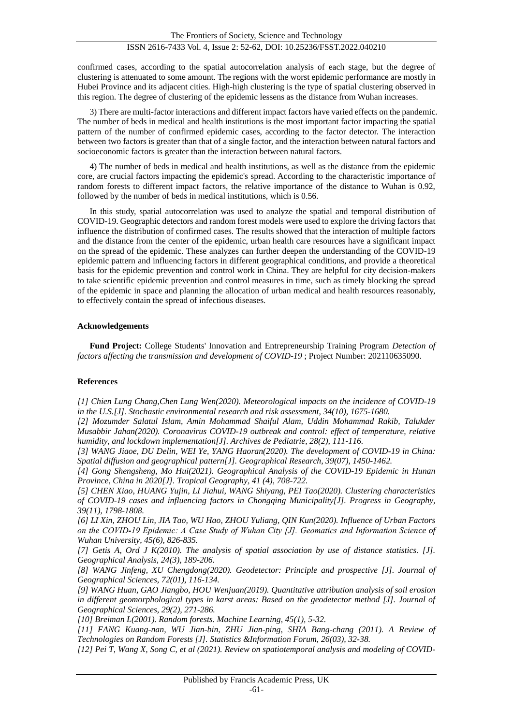confirmed cases, according to the spatial autocorrelation analysis of each stage, but the degree of clustering is attenuated to some amount. The regions with the worst epidemic performance are mostly in Hubei Province and its adjacent cities. High-high clustering is the type of spatial clustering observed in this region. The degree of clustering of the epidemic lessens as the distance from Wuhan increases.

3) There are multi-factor interactions and different impact factors have varied effects on the pandemic. The number of beds in medical and health institutions is the most important factor impacting the spatial pattern of the number of confirmed epidemic cases, according to the factor detector. The interaction between two factors is greater than that of a single factor, and the interaction between natural factors and socioeconomic factors is greater than the interaction between natural factors.

4) The number of beds in medical and health institutions, as well as the distance from the epidemic core, are crucial factors impacting the epidemic's spread. According to the characteristic importance of random forests to different impact factors, the relative importance of the distance to Wuhan is 0.92, followed by the number of beds in medical institutions, which is 0.56.

In this study, spatial autocorrelation was used to analyze the spatial and temporal distribution of COVID-19. Geographic detectors and random forest models were used to explore the driving factors that influence the distribution of confirmed cases. The results showed that the interaction of multiple factors and the distance from the center of the epidemic, urban health care resources have a significant impact on the spread of the epidemic. These analyzes can further deepen the understanding of the COVID-19 epidemic pattern and influencing factors in different geographical conditions, and provide a theoretical basis for the epidemic prevention and control work in China. They are helpful for city decision-makers to take scientific epidemic prevention and control measures in time, such as timely blocking the spread of the epidemic in space and planning the allocation of urban medical and health resources reasonably, to effectively contain the spread of infectious diseases.

#### **Acknowledgements**

**Fund Project:** College Students' Innovation and Entrepreneurship Training Program *Detection of factors affecting the transmission and development of COVID-19* ; Project Number: 202110635090.

#### **References**

*[1] Chien Lung Chang,Chen Lung Wen(2020). Meteorological impacts on the incidence of COVID-19 in the U.S.[J]. Stochastic environmental research and risk assessment, 34(10), 1675-1680.*

*[2] Mozumder Salatul Islam, Amin Mohammad Shaiful Alam, Uddin Mohammad Rakib, Talukder Musabbir Jahan(2020). Coronavirus COVID-19 outbreak and control: effect of temperature, relative humidity, and lockdown implementation[J]. Archives de Pediatrie, 28(2), 111-116.*

*[3] WANG Jiaoe, DU Delin, WEI Ye, YANG Haoran(2020). The development of COVID-19 in China: Spatial diffusion and geographical pattern[J]. Geographical Research, 39(07), 1450-1462.*

*[4] Gong Shengsheng, Mo Hui(2021). Geographical Analysis of the COVID-19 Epidemic in Hunan Province, China in 2020[J]. Tropical Geography, 41 (4), 708-722.*

*[5] CHEN Xiao, HUANG Yujin, LI Jiahui, WANG Shiyang, PEI Tao(2020). Clustering characteristics of COVID-19 cases and influencing factors in Chongqing Municipality[J]. Progress in Geography, 39(11), 1798-1808.*

*[6] LI Xin, ZHOU Lin, JIA Tao, WU Hao, ZHOU Yuliang, QIN Kun(2020). Influence of Urban Factors on the COVID⁃19 Epidemic: A Case Study of Wuhan City [J]. Geomatics and Information Science of Wuhan University, 45(6), 826-835.*

*[7] Getis A, Ord J K(2010). The analysis of spatial association by use of distance statistics. [J]. Geographical Analysis, 24(3), 189-206.*

*[8] WANG Jinfeng, XU Chengdong(2020). Geodetector: Principle and prospective [J]. Journal of Geographical Sciences, 72(01), 116-134.*

*[9] WANG Huan, GAO Jiangbo, HOU Wenjuan(2019). Quantitative attribution analysis of soil erosion in different geomorphological types in karst areas: Based on the geodetector method [J]. Journal of Geographical Sciences, 29(2), 271-286.*

*[10] Breiman L(2001). Random forests. Machine Learning, 45(1), 5-32.*

*[11] FANG Kuang-nan, WU Jian-bin, ZHU Jian-ping, SHIA Bang-chang (2011). A Review of Technologies on Random Forests [J]. Statistics &Information Forum, 26(03), 32-38.*

*[12] Pei T, Wang X, Song C, et al (2021). Review on spatiotemporal analysis and modeling of COVID-*